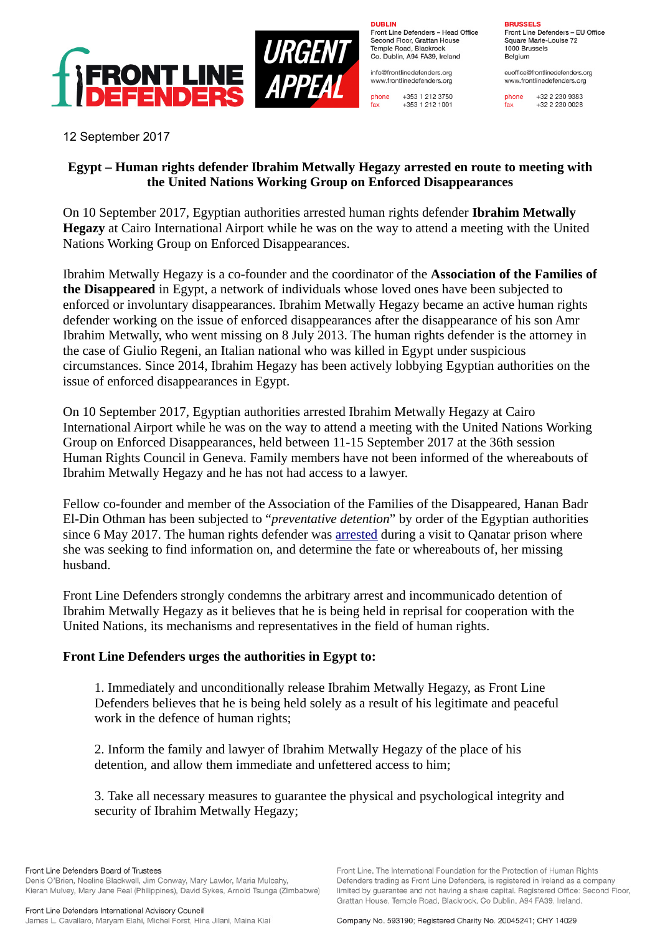

**DURLIN** Front Line Defenders - Head Office Second Floor, Grattan House Temple Boad, Blackrock Co. Dublin, A94 FA39, Ireland

info@frontlinedefenders.org www.frontlinedefenders.org

+353 1 212 3750 phone  $fax$ +353 1 212 1001

**BDHCCELC** 

Front Line Defenders - EU Office Square Marie-Louise 72 1000 Brussels **Belgium** 

euoffice@frontlinedefenders.org www.frontlinedefenders.org

+32 2 230 9383 phone  $fax$  $+3222300028$ 

12 September 2017

## **Egypt – Human rights defender Ibrahim Metwally Hegazy arrested en route to meeting with the United Nations Working Group on Enforced Disappearances**

On 10 September 2017, Egyptian authorities arrested human rights defender **Ibrahim Metwally Hegazy** at Cairo International Airport while he was on the way to attend a meeting with the United Nations Working Group on Enforced Disappearances.

Ibrahim Metwally Hegazy is a co-founder and the coordinator of the **Association of the Families of the Disappeared** in Egypt, a network of individuals whose loved ones have been subjected to enforced or involuntary disappearances. Ibrahim Metwally Hegazy became an active human rights defender working on the issue of enforced disappearances after the disappearance of his son Amr Ibrahim Metwally, who went missing on 8 July 2013. The human rights defender is the attorney in the case of Giulio Regeni, an Italian national who was killed in Egypt under suspicious circumstances. Since 2014, Ibrahim Hegazy has been actively lobbying Egyptian authorities on the issue of enforced disappearances in Egypt.

On 10 September 2017, Egyptian authorities arrested Ibrahim Metwally Hegazy at Cairo International Airport while he was on the way to attend a meeting with the United Nations Working Group on Enforced Disappearances, held between 11-15 September 2017 at the 36th session Human Rights Council in Geneva. Family members have not been informed of the whereabouts of Ibrahim Metwally Hegazy and he has not had access to a lawyer.

Fellow co-founder and member of the Association of the Families of the Disappeared, Hanan Badr El-Din Othman has been subjected to "*preventative detention*" by order of the Egyptian authorities since 6 May 2017. The human rights defender was [arrested](https://www.frontlinedefenders.org/en/case/hanan-badr-el-din-faces-continued-arbitrary-detention) during a visit to Qanatar prison where she was seeking to find information on, and determine the fate or whereabouts of, her missing husband.

Front Line Defenders strongly condemns the arbitrary arrest and incommunicado detention of Ibrahim Metwally Hegazy as it believes that he is being held in reprisal for cooperation with the United Nations, its mechanisms and representatives in the field of human rights.

## **Front Line Defenders urges the authorities in Egypt to:**

1. Immediately and unconditionally release Ibrahim Metwally Hegazy, as Front Line Defenders believes that he is being held solely as a result of his legitimate and peaceful work in the defence of human rights;

2. Inform the family and lawyer of Ibrahim Metwally Hegazy of the place of his detention, and allow them immediate and unfettered access to him;

3. Take all necessary measures to guarantee the physical and psychological integrity and security of Ibrahim Metwally Hegazy;

Kieran Mulvey, Mary Jane Real (Philippines), David Sykes, Arnold Tsunga (Zimbabwe) Front Line Defenders International Advisory Council

James L. Cavallaro, Maryam Elahi, Michel Forst, Hina Jilani, Maina Kiai

Front Line. The International Foundation for the Protection of Human Rights Defenders trading as Front Line Defenders, is registered in Ireland as a company limited by guarantee and not having a share capital. Registered Office: Second Floor, Grattan House, Temple Road, Blackrock, Co Dublin, A94 FA39, Ireland.

Company No. 593190; Registered Charity No. 20045241; CHY 14029